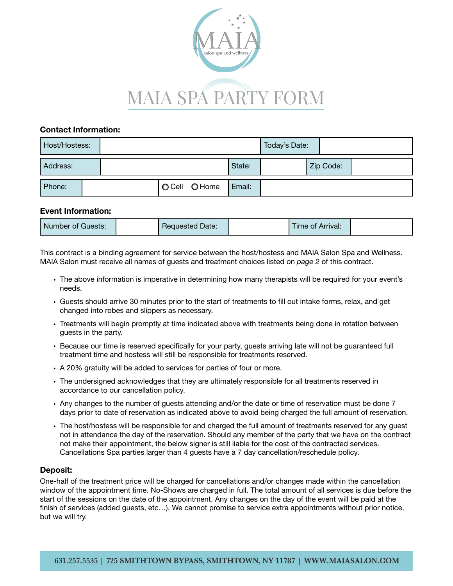

#### **Contact Information:**

| Host/Hostess: |  |               |        | Today's Date: |           |  |
|---------------|--|---------------|--------|---------------|-----------|--|
| Address:      |  |               | State: |               | Zip Code: |  |
| Phone:        |  | O Cell O Home | Email: |               |           |  |

#### **Event Information:**

| Number of Guests: | <b>Requested Date:</b> | Time of Arrival: |  |
|-------------------|------------------------|------------------|--|
|                   |                        |                  |  |

This contract is a binding agreement for service between the host/hostess and MAIA Salon Spa and Wellness. MAIA Salon must receive all names of guests and treatment choices listed on *page 2* of this contract.

- The above information is imperative in determining how many therapists will be required for your event's needs.
- Guests should arrive 30 minutes prior to the start of treatments to fill out intake forms, relax, and get changed into robes and slippers as necessary.
- Treatments will begin promptly at time indicated above with treatments being done in rotation between guests in the party.
- Because our time is reserved specifically for your party, guests arriving late will not be guaranteed full treatment time and hostess will still be responsible for treatments reserved.
- A 20% gratuity will be added to services for parties of four or more.
- The undersigned acknowledges that they are ultimately responsible for all treatments reserved in accordance to our cancellation policy.
- Any changes to the number of guests attending and/or the date or time of reservation must be done 7 days prior to date of reservation as indicated above to avoid being charged the full amount of reservation.
- The host/hostess will be responsible for and charged the full amount of treatments reserved for any guest not in attendance the day of the reservation. Should any member of the party that we have on the contract not make their appointment, the below signer is still liable for the cost of the contracted services. Cancellations Spa parties larger than 4 guests have a 7 day cancellation/reschedule policy.

#### **Deposit:**

One-half of the treatment price will be charged for cancellations and/or changes made within the cancellation window of the appointment time. No-Shows are charged in full. The total amount of all services is due before the start of the sessions on the date of the appointment. Any changes on the day of the event will be paid at the finish of services (added guests, etc…). We cannot promise to service extra appointments without prior notice, but we will try.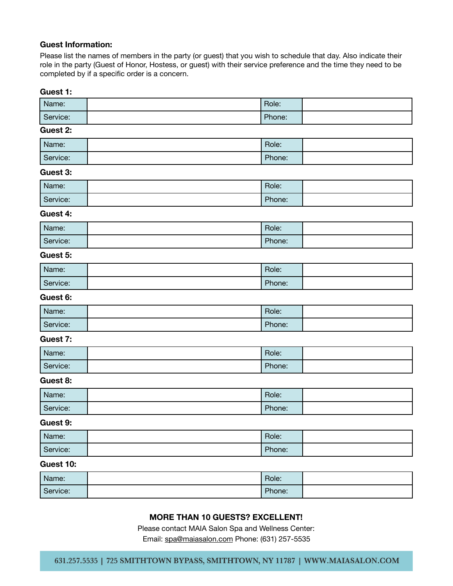### **Guest Information:**

Please list the names of members in the party (or guest) that you wish to schedule that day. Also indicate their role in the party (Guest of Honor, Hostess, or guest) with their service preference and the time they need to be completed by if a specific order is a concern.

#### **Guest 1:**

| Name:    | Role:  |  |
|----------|--------|--|
| Service: | Phone: |  |

#### **Guest 2:**

| Name:    | Role:  |  |
|----------|--------|--|
| Service: | Phone: |  |

#### **Guest 3:**

| Name:    | Role:  |  |
|----------|--------|--|
| Service: | Phone: |  |

#### **Guest 4:**

| Name:    | Role:  |  |
|----------|--------|--|
| Service: | Phone: |  |

# **Guest 5:**

| Name:    | Role:  |  |
|----------|--------|--|
| Service: | Phone: |  |

## **Guest 6:**

| Name:    | Role:  |  |
|----------|--------|--|
| Service: | Phone: |  |

#### **Guest 7:**

| Name:    | Role:  |  |
|----------|--------|--|
| Service: | Phone: |  |

#### **Guest 8:**

| Name:    | Role:  |  |
|----------|--------|--|
| Service: | Phone: |  |

#### **Guest 9:**

| Name:    | Role:  |  |
|----------|--------|--|
| Service: | Phone: |  |

### **Guest 10:**

| Name:    | Role:  |  |
|----------|--------|--|
| Service: | Phone: |  |

# **MORE THAN 10 GUESTS? EXCELLENT!**

Please contact MAIA Salon Spa and Wellness Center:

Email: [spa@maiasalon.com](mailto:spa@maiasalon.com) Phone: (631) 257-5535